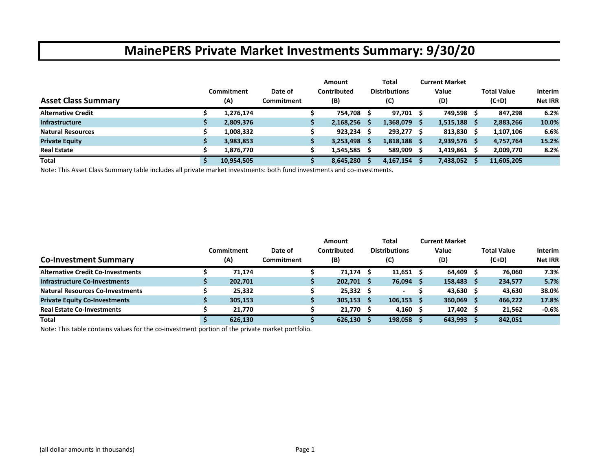|                            |            |                   | Amount      |   | Total                |     | <b>Current Market</b> |     |                    |                |
|----------------------------|------------|-------------------|-------------|---|----------------------|-----|-----------------------|-----|--------------------|----------------|
|                            | Commitment | Date of           | Contributed |   | <b>Distributions</b> |     | Value                 |     | <b>Total Value</b> | <b>Interim</b> |
| <b>Asset Class Summary</b> | (A)        | <b>Commitment</b> | (B)         |   | (C)                  |     | (D)                   |     | $(C+D)$            | <b>Net IRR</b> |
| <b>Alternative Credit</b>  | 1,276,174  |                   | 754,708     |   | 97,701               | - S | 749,598               |     | 847,298            | 6.2%           |
| <b>Infrastructure</b>      | 2,809,376  |                   | 2,168,256   | S | $1,368,079$ \$       |     | 1,515,188             | - S | 2,883,266          | 10.0%          |
| <b>Natural Resources</b>   | 1,008,332  |                   | 923,234     |   | 293,277 \$           |     | 813,830               |     | 1,107,106          | 6.6%           |
| <b>Private Equity</b>      | 3,983,853  |                   | 3,253,498   |   | $1,818,188$ \$       |     | $2,939,576$ \$        |     | 4,757,764          | 15.2%          |
| <b>Real Estate</b>         | 1,876,770  |                   | 1,545,585   |   | $589,909$ \$         |     | 1,419,861             |     | 2,009,770          | 8.2%           |
| <b>Total</b>               | 10,954,505 |                   | 8,645,280   |   | 4,167,154            |     | 7,438,052             |     | 11,605,205         |                |

Note: This Asset Class Summary table includes all private market investments: both fund investments and co‐investments.

|                                          |            |            | <b>Amount</b> |     | Total                | <b>Current Market</b> |                    |                |
|------------------------------------------|------------|------------|---------------|-----|----------------------|-----------------------|--------------------|----------------|
|                                          | Commitment | Date of    | Contributed   |     | <b>Distributions</b> | Value                 | <b>Total Value</b> | <b>Interim</b> |
| <b>Co-Investment Summary</b>             | (A)        | Commitment | (B)           |     | (C)                  | (D)                   | $(C+D)$            | <b>Net IRR</b> |
| <b>Alternative Credit Co-Investments</b> | 71.174     |            | 71,174        |     | $11,651$ \$          | $64,409$ \$           | 76.060             | 7.3%           |
| <b>Infrastructure Co-Investments</b>     | 202,701    |            | 202,701       | - S | 76,094 \$            | 158,483 \$            | 234,577            | 5.7%           |
| <b>Natural Resources Co-Investments</b>  | 25.332     |            | $25,332$ \$   |     |                      | $43,630$ \$           | 43.630             | 38.0%          |
| <b>Private Equity Co-Investments</b>     | 305,153    |            | 305,153       | -S  | $106,153$ \$         | $360,069$ \$          | 466,222            | 17.8%          |
| <b>Real Estate Co-Investments</b>        | 21.770     |            | 21,770 \$     |     | $4,160$ \$           | 17,402 \$             | 21,562             | $-0.6%$        |
| <b>Total</b>                             | 626,130    |            | 626,130       |     | 198,058              | 643,993               | 842,051            |                |

Note: This table contains values for the co‐investment portion of the private market portfolio.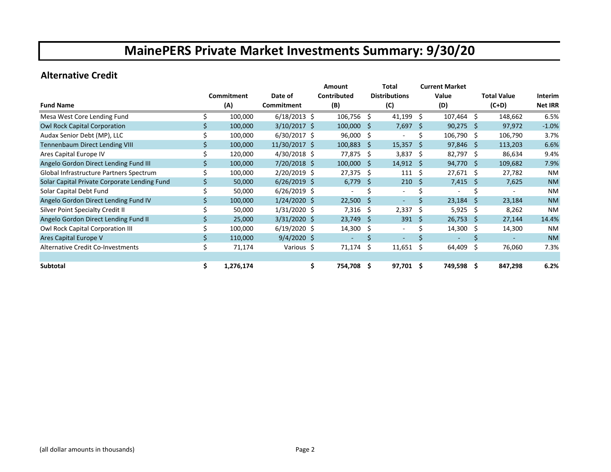#### **Alternative Credit**

|                                              |     |            |                | <b>Amount</b>  |                        | Total                    |      | <b>Current Market</b> |     |                    |                |
|----------------------------------------------|-----|------------|----------------|----------------|------------------------|--------------------------|------|-----------------------|-----|--------------------|----------------|
|                                              |     | Commitment | Date of        | Contributed    |                        | <b>Distributions</b>     |      | Value                 |     | <b>Total Value</b> | Interim        |
| <b>Fund Name</b>                             |     | (A)        | Commitment     | (B)            |                        | (C)                      |      | (D)                   |     | $(C+D)$            | <b>Net IRR</b> |
| Mesa West Core Lending Fund                  |     | 100,000    | $6/18/2013$ \$ | 106,756        | Ŝ.                     | 41,199                   | - \$ | $107,464$ \$          |     | 148,662            | 6.5%           |
| <b>Owl Rock Capital Corporation</b>          |     | 100,000    | $3/10/2017$ \$ | 100,000        | S                      | 7,697                    | -S   | 90,275                | -Ŝ  | 97,972             | $-1.0%$        |
| Audax Senior Debt (MP), LLC                  |     | 100,000    | $6/30/2017$ \$ | 96,000         | \$                     |                          | Ś    | 106,790 \$            |     | 106,790            | 3.7%           |
| <b>Tennenbaum Direct Lending VIII</b>        |     | 100,000    | 11/30/2017 \$  | 100,883        | Ŝ.                     | $15,357$ \$              |      | $97,846$ \$           |     | 113,203            | 6.6%           |
| Ares Capital Europe IV                       |     | 120,000    | $4/30/2018$ \$ | 77,875         | \$                     | $3,837$ \$               |      | 82,797 \$             |     | 86,634             | 9.4%           |
| Angelo Gordon Direct Lending Fund III        |     | 100,000    | 7/20/2018 \$   | 100,000        | Ŝ                      | $14,912 \quad $$         |      | $94,770$ \$           |     | 109,682            | 7.9%           |
| Global Infrastructure Partners Spectrum      |     | 100,000    | 2/20/2019 \$   |                | 27,375<br>Ŝ.           | 111                      | -Ś   | 27,671                | S   | 27,782             | NM             |
| Solar Capital Private Corporate Lending Fund |     | 50,000     | $6/26/2019$ \$ |                | 6,779<br><sub>S</sub>  | 210                      | -S   | 7,415                 | -Ŝ  | 7,625              | <b>NM</b>      |
| Solar Capital Debt Fund                      |     | 50,000     | $6/26/2019$ \$ |                |                        | $\overline{\phantom{a}}$ |      |                       |     |                    | <b>NM</b>      |
| Angelo Gordon Direct Lending Fund IV         |     | 100,000    | $1/24/2020$ \$ |                | 22,500<br><sub>S</sub> | $\overline{\phantom{a}}$ | Ś    | 23,184                | S   | 23,184             | <b>NM</b>      |
| Silver Point Specialty Credit II             |     | 50,000     | $1/31/2020$ \$ |                | 7,316<br>Ŝ.            | 2,337                    | -Ś   | 5,925                 | -\$ | 8,262              | <b>NM</b>      |
| Angelo Gordon Direct Lending Fund II         |     | 25,000     | $3/31/2020$ \$ | 23,749         | S                      | 391                      | -Ŝ   | 26,753                | Ŝ.  | 27,144             | 14.4%          |
| Owl Rock Capital Corporation III             |     | 100,000    | $6/19/2020$ \$ | 14,300         | \$                     | $\sim$                   | Ś    | 14,300 \$             |     | 14,300             | <b>NM</b>      |
| Ares Capital Europe V                        |     | 110,000    | $9/4/2020$ \$  |                |                        |                          |      |                       |     |                    | <b>NM</b>      |
| Alternative Credit Co-Investments            | \$  | 71,174     | Various \$     | 71,174         | \$.                    | 11,651                   | -\$  | 64,409                | S.  | 76,060             | 7.3%           |
|                                              |     |            |                |                |                        |                          |      |                       |     |                    |                |
| Subtotal                                     | \$. | 1,276,174  |                | \$.<br>754,708 | \$.                    | 97,701 \$                |      | 749,598 \$            |     | 847,298            | 6.2%           |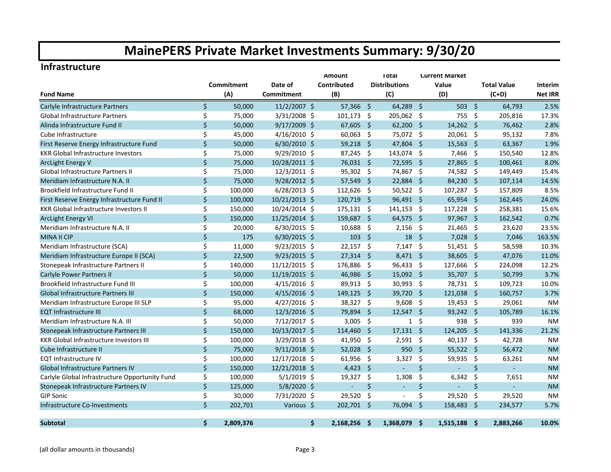#### **Infrastructure**

|                                                |         |            |                | Amount             | <b>Total</b><br><b>Current Market</b> |                      |                     |                |                     |                    |                |
|------------------------------------------------|---------|------------|----------------|--------------------|---------------------------------------|----------------------|---------------------|----------------|---------------------|--------------------|----------------|
|                                                |         | Commitment | Date of        | Contributed        |                                       | <b>Distributions</b> |                     | Value          |                     | <b>Total Value</b> | <b>Interim</b> |
| <b>Fund Name</b>                               |         | (A)        | Commitment     | (B)                |                                       | (C)                  |                     | (D)            |                     | $(C+D)$            | <b>Net IRR</b> |
| Carlyle Infrastructure Partners                | Ś.      | 50,000     | $11/2/2007$ \$ | 57,366             | -\$                                   | 64,289 \$            |                     | $503 \quad $5$ |                     | 64,793             | 2.5%           |
| <b>Global Infrastructure Partners</b>          | \$      | 75,000     | 3/31/2008 \$   | 101,173            | -\$                                   | 205,062 \$           |                     | 755            | -\$                 | 205,816            | 17.3%          |
| Alinda Infrastructure Fund II                  | \$      | 50,000     | $9/17/2009$ \$ | 67,605             | - \$                                  | $62,200$ \$          |                     | $14,262$ \$    |                     | 76,462             | 2.8%           |
| Cube Infrastructure                            | \$      | 45,000     | $4/16/2010$ \$ | 60,063             | -\$                                   | 75,072 \$            |                     | 20,061 \$      |                     | 95,132             | 7.8%           |
| First Reserve Energy Infrastructure Fund       | \$      | 50,000     | $6/30/2010$ \$ | 59,218             | -Ś                                    | 47,804               | - \$                | 15,563         | -Ś                  | 63,367             | 1.9%           |
| <b>KKR Global Infrastructure Investors</b>     | \$      | 75,000     | 9/29/2010 \$   | 87,245             | -\$                                   | 143,074              | $\ddot{\varsigma}$  | 7,466          | -\$                 | 150,540            | 12.8%          |
| <b>ArcLight Energy V</b>                       | \$      | 75,000     | 10/28/2011 \$  | $76,031$ \$        |                                       | 72,595               | $\ddot{\mathsf{s}}$ | 27,865         | -\$                 | 100,461            | 8.0%           |
| <b>Global Infrastructure Partners II</b>       | \$      | 75,000     | 12/3/2011 \$   | 95,302             | -\$                                   | 74,867               | - \$                | 74,582         | -\$                 | 149,449            | 15.4%          |
| Meridiam Infrastructure N.A. II                | \$      | 75,000     | 9/28/2012 \$   | 57,549             | $\ddot{\mathsf{S}}$                   | 22,884               | $\ddot{\mathsf{S}}$ | 84,230         | $\ddot{\mathsf{s}}$ | 107,114            | 14.5%          |
| Brookfield Infrastructure Fund II              | \$      | 100,000    | $6/28/2013$ \$ | 112,626            | Ŝ.                                    | 50,522               | $\ddot{\mathsf{s}}$ | 107,287        | - \$                | 157,809            | 8.5%           |
| First Reserve Energy Infrastructure Fund II    | $\zeta$ | 100,000    | 10/21/2013 \$  | 120,719            | -Ś                                    | 96,491 \$            |                     | 65,954 \$      |                     | 162,445            | 24.0%          |
| <b>KKR Global Infrastructure Investors II</b>  | \$      | 150,000    | 10/24/2014 \$  | 175,131            | -\$                                   | $141,153$ \$         |                     | 117,228        | - \$                | 258,381            | 15.6%          |
| <b>ArcLight Energy VI</b>                      | \$      | 150,000    | 11/25/2014 \$  | 159,687            | $\ddot{\mathsf{s}}$                   | $64,575$ \$          |                     | 97,967 \$      |                     | 162,542            | 0.7%           |
| Meridiam Infrastructure N.A. II                | \$      | 20,000     | 6/30/2015 \$   | 10,688             | -\$                                   | 2,156                | - \$                | $21,465$ \$    |                     | 23,620             | 23.5%          |
| <b>MINA II CIP</b>                             | $\zeta$ | 175        | $6/30/2015$ \$ |                    | $103 \quad $5$                        | $18 \quad $$         |                     | $7,028$ \$     |                     | 7,046              | 163.5%         |
| Meridiam Infrastructure (SCA)                  | \$      | 11,000     | 9/23/2015 \$   | 22,157             | -\$                                   | $7,147$ \$           |                     | $51,451$ \$    |                     | 58,598             | 10.3%          |
| Meridiam Infrastructure Europe II (SCA)        | \$      | 22,500     | $9/23/2015$ \$ | 27,314             | -Ś                                    | $8,471$ \$           |                     | 38,605 \$      |                     | 47,076             | 11.0%          |
| Stonepeak Infrastructure Partners II           | \$      | 140,000    | 11/12/2015 \$  | 176,886            | -\$                                   | 96,433 \$            |                     | 127,666 \$     |                     | 224,098            | 12.2%          |
| Carlyle Power Partners II                      | \$      | 50,000     | 11/19/2015 \$  | 46,986             | '\$                                   | 15,092               | - \$                | 35,707 \$      |                     | 50,799             | 3.7%           |
| Brookfield Infrastructure Fund III             | \$      | 100,000    | 4/15/2016 \$   | 89,913             | \$                                    | 30,993               | - \$                | 78,731         | -\$                 | 109,723            | 10.0%          |
| Global Infrastructure Partners III             | \$      | 150,000    | $4/15/2016$ \$ | 149,125            | '\$                                   | 39,720               | - \$                | 121,038        | -\$                 | 160,757            | 3.7%           |
| Meridiam Infrastructure Europe III SLP         | \$      | 95,000     | $4/27/2016$ \$ | 38,327             | \$                                    | 9,608                | - \$                | 19,453 \$      |                     | 29,061             | <b>NM</b>      |
| <b>EQT Infrastructure III</b>                  | \$      | 68,000     | 12/3/2016 \$   | 79,894             | -\$                                   | $12,547$ \$          |                     | 93,242 \$      |                     | 105,789            | 16.1%          |
| Meridiam Infrastructure N.A. III               | \$      | 50,000     | 7/12/2017 \$   | 3,005              | -\$                                   | $\mathbf{1}$         | \$                  | 938            | -\$                 | 939                | <b>NM</b>      |
| Stonepeak Infrastructure Partners III          | \$      | 150,000    | 10/13/2017 \$  | 114,460            | $\ddot{\varsigma}$                    | $17,131$ \$          |                     | 124,205 \$     |                     | 141,336            | 21.2%          |
| <b>KKR Global Infrastructure Investors III</b> | \$      | 100,000    | $3/29/2018$ \$ | 41,950 \$          |                                       | $2,591$ \$           |                     | 40,137 \$      |                     | 42,728             | <b>NM</b>      |
| Cube Infrastructure II                         | \$      | 75,000     | $9/11/2018$ \$ | 52,028             | - \$                                  | $950 \div$           |                     | $55,522$ \$    |                     | 56,472             | <b>NM</b>      |
| <b>EQT Infrastructure IV</b>                   | \$      | 100,000    | 12/17/2018 \$  | 61,956             | - \$                                  | $3,327$ \$           |                     | 59,935         | -\$                 | 63,261             | <b>NM</b>      |
| <b>Global Infrastructure Partners IV</b>       | \$      | 150,000    | 12/21/2018 \$  | 4,423              | -Ś                                    | $\blacksquare$       | $\zeta$             | ÷,             | \$                  | $\omega$           | <b>NM</b>      |
| Carlyle Global Infrastructure Opportunity Fund | \$      | 100,000    | $5/1/2019$ \$  | 19,327             | Ŝ.                                    | 1,308                | \$                  | 6,342          | Ŝ.                  | 7,651              | <b>NM</b>      |
| Stonepeak Infrastructure Partners IV           | \$      | 125,000    | $5/8/2020$ \$  | $\sim$             | \$                                    | ÷.                   | \$                  | $\blacksquare$ | \$                  | ÷.                 | <b>NM</b>      |
| <b>GIP Sonic</b>                               | \$      | 30,000     | 7/31/2020 \$   | 29,520             | Ŝ.                                    | $\blacksquare$       | \$                  | 29,520         | -\$                 | 29,520             | <b>NM</b>      |
| Infrastructure Co-Investments                  | \$      | 202,701    | Various \$     | 202,701            | - \$                                  | 76,094               | Ŝ.                  | 158,483        | -Ś                  | 234,577            | 5.7%           |
| <b>Subtotal</b>                                | Ś.      | 2,809,376  |                | Ŝ.<br>2,168,256 \$ |                                       | 1,368,079 \$         |                     | $1,515,188$ \$ |                     | 2,883,266          | 10.0%          |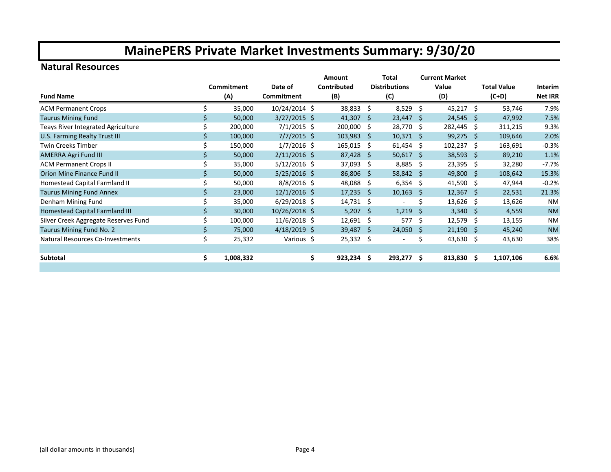#### **Natural Resources**

|                                         |     |            |                | Amount             |     | Total                |      | <b>Current Market</b> |                    |                |
|-----------------------------------------|-----|------------|----------------|--------------------|-----|----------------------|------|-----------------------|--------------------|----------------|
|                                         |     | Commitment | Date of        | <b>Contributed</b> |     | <b>Distributions</b> |      | Value                 | <b>Total Value</b> | Interim        |
| <b>Fund Name</b>                        |     | (A)        | Commitment     | (B)                |     | (C)                  |      | (D)                   | $(C+D)$            | <b>Net IRR</b> |
| <b>ACM Permanent Crops</b>              |     | 35,000     | 10/24/2014 \$  | 38,833             | Ŝ.  | $8,529$ \$           |      | $45,217$ \$           | 53,746             | 7.9%           |
| <b>Taurus Mining Fund</b>               |     | 50,000     | $3/27/2015$ \$ | 41,307             | -\$ | $23,447$ \$          |      | $24,545$ \$           | 47,992             | 7.5%           |
| Teays River Integrated Agriculture      |     | 200,000    | $7/1/2015$ \$  | 200,000            | Ŝ.  | 28,770 \$            |      | 282,445 \$            | 311,215            | 9.3%           |
| U.S. Farming Realty Trust III           |     | 100,000    | $7/7/2015$ \$  | 103,983            | -S  | $10,371$ \$          |      | $99,275$ \$           | 109,646            | 2.0%           |
| Twin Creeks Timber                      |     | 150,000    | $1/7/2016$ \$  | 165,015            | Ŝ.  | $61,454$ \$          |      | $102,237$ \$          | 163,691            | $-0.3%$        |
| <b>AMERRA Agri Fund III</b>             |     | 50,000     | $2/11/2016$ \$ | 87,428             | -Ŝ  | $50,617$ \$          |      | $38,593$ \$           | 89,210             | 1.1%           |
| <b>ACM Permanent Crops II</b>           |     | 35,000     | $5/12/2016$ \$ | 37,093             | S.  | $8,885$ \$           |      | $23,395$ \$           | 32,280             | $-7.7%$        |
| Orion Mine Finance Fund II              |     | 50,000     | $5/25/2016$ \$ | 86,806 \$          |     | $58,842$ \$          |      | 49,800 \$             | 108,642            | 15.3%          |
| Homestead Capital Farmland II           |     | 50,000     | $8/8/2016$ \$  | 48,088             | S.  | $6,354$ \$           |      | 41,590 \$             | 47,944             | $-0.2%$        |
| <b>Taurus Mining Fund Annex</b>         |     | 23,000     | $12/1/2016$ \$ | 17,235             | -S  | $10,163$ \$          |      | $12,367$ \$           | 22,531             | 21.3%          |
| Denham Mining Fund                      |     | 35,000     | $6/29/2018$ \$ | 14,731             | -\$ |                      | Ś.   | $13,626$ \$           | 13,626             | <b>NM</b>      |
| Homestead Capital Farmland III          |     | 30,000     | 10/26/2018 \$  | 5,207              | -Ś  | 1,219                | - \$ | $3,340$ \$            | 4,559              | <b>NM</b>      |
| Silver Creek Aggregate Reserves Fund    |     | 100,000    | $11/6/2018$ \$ | 12,691             | -\$ | 577                  | - \$ | $12,579$ \$           | 13,155             | <b>NM</b>      |
| Taurus Mining Fund No. 2                | \$. | 75,000     | $4/18/2019$ \$ | 39,487 \$          |     | $24,050$ \$          |      | $21,190$ \$           | 45,240             | <b>NM</b>      |
| <b>Natural Resources Co-Investments</b> | \$  | 25,332     | Various \$     | 25,332             | \$  |                      | S    | 43,630 \$             | 43,630             | 38%            |
|                                         |     |            |                |                    |     |                      |      |                       |                    |                |
| Subtotal                                | \$. | 1,008,332  |                | \$<br>923,234      | \$. | 293,277 \$           |      | $813,830$ \$          | 1,107,106          | 6.6%           |
|                                         |     |            |                |                    |     |                      |      |                       |                    |                |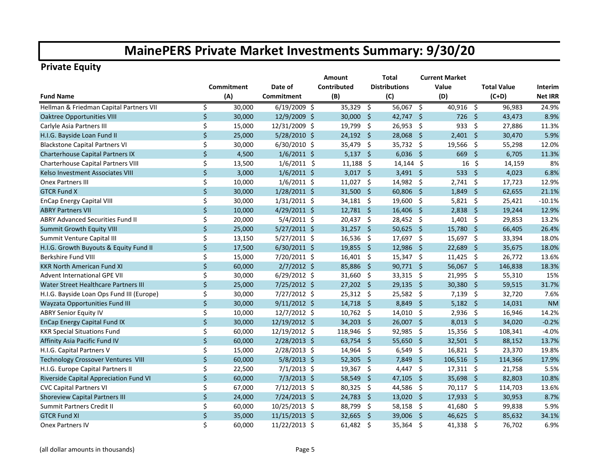### **Private Equity**

|                                           |              |            |                | <b>Amount</b> |                     | Total                |                     | <b>Current Market</b> |      |                    |                |
|-------------------------------------------|--------------|------------|----------------|---------------|---------------------|----------------------|---------------------|-----------------------|------|--------------------|----------------|
|                                           |              | Commitment | Date of        | Contributed   |                     | <b>Distributions</b> |                     | Value                 |      | <b>Total Value</b> | Interim        |
| <b>Fund Name</b>                          |              | (A)        | Commitment     | (B)           |                     | (C)                  |                     | (D)                   |      | $(C+D)$            | <b>Net IRR</b> |
| Hellman & Friedman Capital Partners VII   | \$           | 30,000     | $6/19/2009$ \$ | 35,329        | \$                  | $56,067$ \$          |                     | 40,916 \$             |      | 96,983             | 24.9%          |
| <b>Oaktree Opportunities VIII</b>         | $\zeta$      | 30,000     | 12/9/2009 \$   | 30,000        | -Ś                  | 42,747 \$            |                     | $726$ \$              |      | 43,473             | 8.9%           |
| Carlyle Asia Partners III                 | \$           | 15,000     | 12/31/2009 \$  | 19,799        | \$                  | 26,953 \$            |                     | 933                   | -\$  | 27,886             | 11.3%          |
| H.I.G. Bayside Loan Fund II               | $\zeta$      | 25,000     | 5/28/2010 \$   | $24,192$ \$   |                     | 28,068 \$            |                     | $2,401$ \$            |      | 30,470             | 5.9%           |
| <b>Blackstone Capital Partners VI</b>     | \$           | 30,000     | 6/30/2010 \$   | 35,479        | \$                  | 35,732 \$            |                     | 19,566                | -\$  | 55,298             | 12.0%          |
| Charterhouse Capital Partners IX          | $\zeta$      | 4,500      | $1/6/2011$ \$  | $5,137$ \$    |                     | $6,036$ \$           |                     | 669 \$                |      | 6,705              | 11.3%          |
| Charterhouse Capital Partners VIII        | \$           | 13,500     | $1/6/2011$ \$  | $11,188$ \$   |                     | $14,144$ \$          |                     | $16 \;$ \$            |      | 14,159             | 8%             |
| Kelso Investment Associates VIII          | $\zeta$      | 3,000      | $1/6/2011$ \$  | $3,017$ \$    |                     | $3,491$ \$           |                     | 533 \$                |      | 4,023              | 6.8%           |
| <b>Onex Partners III</b>                  | \$           | 10,000     | $1/6/2011$ \$  | 11,027        | - \$                | 14,982 \$            |                     | $2,741$ \$            |      | 17,723             | 12.9%          |
| <b>GTCR Fund X</b>                        | $\zeta$      | 30,000     | $1/28/2011$ \$ | 31,500 \$     |                     | $60,806$ \$          |                     | $1,849$ \$            |      | 62,655             | 21.1%          |
| <b>EnCap Energy Capital VIII</b>          | \$           | 30,000     | $1/31/2011$ \$ | 34,181 \$     |                     | 19,600 \$            |                     | $5,821$ \$            |      | 25,421             | $-10.1%$       |
| <b>ABRY Partners VII</b>                  | $\mathsf{S}$ | 10,000     | 4/29/2011 \$   | 12,781 \$     |                     | $16,406$ \$          |                     | $2,838$ \$            |      | 19,244             | 12.9%          |
| <b>ABRY Advanced Securities Fund II</b>   | \$           | 20,000     | 5/4/2011 \$    | 20,437 \$     |                     | 28,452 \$            |                     | $1,401$ \$            |      | 29,853             | 13.2%          |
| <b>Summit Growth Equity VIII</b>          | $\zeta$      | 25,000     | $5/27/2011$ \$ | $31,257$ \$   |                     | 50,625 \$            |                     | 15,780 \$             |      | 66,405             | 26.4%          |
| Summit Venture Capital III                | \$           | 13,150     | $5/27/2011$ \$ | $16,536$ \$   |                     | 17,697 \$            |                     | 15,697 \$             |      | 33,394             | 18.0%          |
| H.I.G. Growth Buyouts & Equity Fund II    | \$           | 17,500     | $6/30/2011$ \$ | 19,855        | - \$                | 12,986               | - \$                | 22,689                | - \$ | 35,675             | 18.0%          |
| Berkshire Fund VIII                       | \$           | 15,000     | $7/20/2011$ \$ | $16,401$ \$   |                     | $15,347$ \$          |                     | $11,425$ \$           |      | 26,772             | 13.6%          |
| <b>KKR North American Fund XI</b>         | \$           | 60,000     | $2/7/2012$ \$  | 85,886        | -\$                 | 90,771 \$            |                     | 56,067 \$             |      | 146,838            | 18.3%          |
| <b>Advent International GPE VII</b>       | \$           | 30,000     | $6/29/2012$ \$ | 31,660        | -\$                 | 33,315 \$            |                     | $21,995$ \$           |      | 55,310             | 15%            |
| Water Street Healthcare Partners III      | $\zeta$      | 25,000     | 7/25/2012 \$   | 27,202        | -\$                 | $29,135$ \$          |                     | 30,380 \$             |      | 59,515             | 31.7%          |
| H.I.G. Bayside Loan Ops Fund III (Europe) | \$           | 30,000     | 7/27/2012 \$   | 25,312        | -\$                 | 25,582 \$            |                     | $7,139$ \$            |      | 32,720             | 7.6%           |
| Wayzata Opportunities Fund III            | \$           | 30,000     | $9/11/2012$ \$ | 14,718        | -\$                 | $8,849$ \$           |                     | $5,182$ \$            |      | 14,031             | <b>NM</b>      |
| <b>ABRY Senior Equity IV</b>              | \$           | 10,000     | 12/7/2012 \$   | 10,762        | -\$                 | $14,010$ \$          |                     | 2,936 \$              |      | 16,946             | 14.2%          |
| <b>EnCap Energy Capital Fund IX</b>       | $\zeta$      | 30,000     | 12/19/2012 \$  | 34,203        | - \$                | 26,007 \$            |                     | $8,013$ \$            |      | 34,020             | $-0.2%$        |
| <b>KKR Special Situations Fund</b>        | \$           | 60,000     | 12/19/2012 \$  | 118,946       | -\$                 | 92,985               | $\ddot{\mathsf{s}}$ | 15,356 \$             |      | 108,341            | $-4.0%$        |
| Affinity Asia Pacific Fund IV             | $\zeta$      | 60,000     | 2/28/2013 \$   | 63,754 \$     |                     | 55,650 \$            |                     | 32,501 \$             |      | 88,152             | 13.7%          |
| H.I.G. Capital Partners V                 | \$           | 15,000     | 2/28/2013 \$   | 14,964 \$     |                     | $6,549$ \$           |                     | $16,821$ \$           |      | 23,370             | 19.8%          |
| Technology Crossover Ventures VIII        | $\zeta$      | 60,000     | $5/8/2013$ \$  | 52,305        | - \$                | 7,849 \$             |                     | 106,516 \$            |      | 114,366            | 17.9%          |
| H.I.G. Europe Capital Partners II         | \$           | 22,500     | $7/1/2013$ \$  | 19,367 \$     |                     | $4,447$ \$           |                     | 17,311 \$             |      | 21,758             | 5.5%           |
| Riverside Capital Appreciation Fund VI    | $\zeta$      | 60,000     | $7/3/2013$ \$  | 58,549        | -\$                 | 47,105               | - \$                | 35,698 \$             |      | 82,803             | 10.8%          |
| <b>CVC Capital Partners VI</b>            | \$           | 67,000     | $7/12/2013$ \$ | 80,325        | - \$                | 44,586               | - \$                | 70,117 \$             |      | 114,703            | 13.6%          |
| <b>Shoreview Capital Partners III</b>     | \$           | 24,000     | 7/24/2013 \$   | 24,783        | $\ddot{\mathsf{S}}$ | $13,020$ \$          |                     | 17,933 \$             |      | 30,953             | 8.7%           |
| Summit Partners Credit II                 | \$           | 60,000     | 10/25/2013 \$  | 88,799        | -\$                 | 58,158               | - \$                | 41,680                | - \$ | 99,838             | 5.9%           |
| <b>GTCR Fund XI</b>                       | \$           | 35,000     | 11/15/2013 \$  | 32,665        | -Ś                  | 39,006               | $\mathsf{\hat{S}}$  | 46,625                | - \$ | 85,632             | 34.1%          |
| <b>Onex Partners IV</b>                   | \$           | 60,000     | 11/22/2013 \$  | $61,482$ \$   |                     | 35,364 \$            |                     | 41,338                | - \$ | 76.702             | 6.9%           |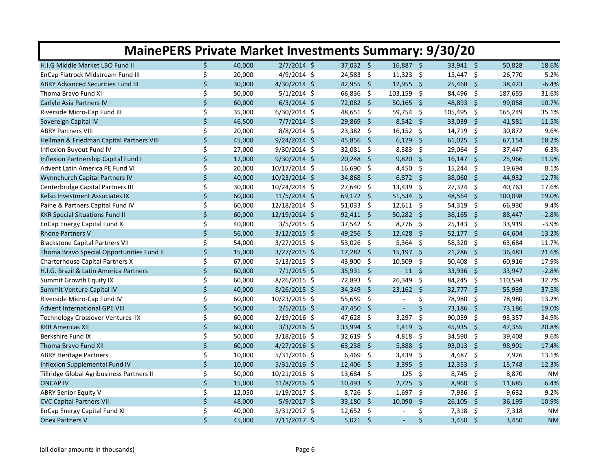| <b>MainePERS Private Market Investments Summary: 9/30/20</b> |    |        |                |                               |                               |                                  |      |         |           |  |  |  |
|--------------------------------------------------------------|----|--------|----------------|-------------------------------|-------------------------------|----------------------------------|------|---------|-----------|--|--|--|
| H.I.G Middle Market LBO Fund II                              | \$ | 40,000 | $2/7/2014$ \$  | 37,032 \$                     | 16,887 \$                     | 33,941 \$                        |      | 50,828  | 18.6%     |  |  |  |
| EnCap Flatrock Midstream Fund III                            | \$ | 20,000 | 4/9/2014 \$    | $24,583$ \$                   | $11,323$ \$                   | 15,447 \$                        |      | 26,770  | 5.2%      |  |  |  |
| <b>ABRY Advanced Securities Fund III</b>                     | \$ | 30,000 | 4/30/2014 \$   | 42,955<br>$\ddot{\varsigma}$  | $12,955$ \$                   | 25,468 \$                        |      | 38,423  | $-6.4%$   |  |  |  |
| Thoma Bravo Fund XI                                          | \$ | 50,000 | $5/1/2014$ \$  | 66,836<br>-\$                 | 103,159 \$                    | 84,496 \$                        |      | 187,655 | 31.6%     |  |  |  |
| Carlyle Asia Partners IV                                     | \$ | 60,000 | $6/3/2014$ \$  | 72,082 \$                     | 50,165<br>$\ddot{\mathsf{s}}$ | 48,893 \$                        |      | 99,058  | 10.7%     |  |  |  |
| Riverside Micro-Cap Fund III                                 | \$ | 35,000 | $6/30/2014$ \$ | 48,651 \$                     | 59,754 \$                     | 105,495 \$                       |      | 165,249 | 35.1%     |  |  |  |
| Sovereign Capital IV                                         | \$ | 46,500 | $7/7/2014$ \$  | 29,869<br>- \$                | $8,542$ \$                    | 33,039 \$                        |      | 41,581  | 11.5%     |  |  |  |
| <b>ABRY Partners VIII</b>                                    | Ś  | 20,000 | 8/8/2014 \$    | $23,382$ \$                   | $16,152$ \$                   | $14,719$ \$                      |      | 30,872  | 9.6%      |  |  |  |
| Hellman & Friedman Capital Partners VIII                     | \$ | 45,000 | $9/24/2014$ \$ | 45,856<br>$\ddot{\varsigma}$  | $6,129$ \$                    | $61,025$ \$                      |      | 67,154  | 18.2%     |  |  |  |
| Inflexion Buyout Fund IV                                     | \$ | 27,000 | 9/30/2014 \$   | $32,081$ \$                   | $8,383$ \$                    | $29,064$ \$                      |      | 37,447  | 6.3%      |  |  |  |
| Inflexion Partnership Capital Fund I                         | \$ | 17,000 | 9/30/2014 \$   | 20,248<br>-\$                 | 9,820                         | - \$<br>$16,147$ \$              |      | 25,966  | 11.9%     |  |  |  |
| Advent Latin America PE Fund VI                              | \$ | 20,000 | 10/17/2014 \$  | 16,690<br>-\$                 | 4,450 \$                      | $15,244$ \$                      |      | 19,694  | 8.1%      |  |  |  |
| Wynnchurch Capital Partners IV                               | \$ | 40,000 | 10/23/2014 \$  | - \$<br>34,868                | $6,872$ \$                    | 38,060 \$                        |      | 44,932  | 12.7%     |  |  |  |
| Centerbridge Capital Partners III                            | \$ | 30,000 | 10/24/2014 \$  | -\$<br>27,640                 | 13,439 \$                     | 27,324 \$                        |      | 40,763  | 17.6%     |  |  |  |
| Kelso Investment Associates IX                               | \$ | 60,000 | 11/5/2014 \$   | 69,172 \$                     | $51,534$ \$                   | 48,564 \$                        |      | 100,098 | 19.0%     |  |  |  |
| Paine & Partners Capital Fund IV                             | \$ | 60,000 | 12/18/2014 \$  | -\$<br>51,033                 | $12,611$ \$                   | 54,319 \$                        |      | 66,930  | 9.4%      |  |  |  |
| <b>KKR Special Situations Fund II</b>                        | \$ | 60,000 | 12/19/2014 \$  | $92,411$ \$                   | $50,282$ \$                   | 38,165                           | - \$ | 88,447  | $-2.8%$   |  |  |  |
| <b>EnCap Energy Capital Fund X</b>                           | \$ | 40,000 | $3/5/2015$ \$  | 37,542 \$                     | 8,776<br>$\ddot{\varsigma}$   | $25,143$ \$                      |      | 33,919  | $-3.9%$   |  |  |  |
| <b>Rhone Partners V</b>                                      | Ś. | 56,000 | $3/12/2015$ \$ | 49,256 \$                     | $12,428$ \$                   | $52,177$ \$                      |      | 64,604  | 13.2%     |  |  |  |
| <b>Blackstone Capital Partners VII</b>                       | \$ | 54,000 | $3/27/2015$ \$ | 53,026 \$                     | $5,364$ \$                    | 58,320 \$                        |      | 63,684  | 11.7%     |  |  |  |
| Thoma Bravo Special Opportunities Fund II                    | \$ | 15,000 | $3/27/2015$ \$ | $17,282$ \$                   | $15,197$ \$                   | $21,286$ \$                      |      | 36,483  | 21.6%     |  |  |  |
| <b>Charterhouse Capital Partners X</b>                       | \$ | 67,000 | $5/13/2015$ \$ | 43,900 \$                     | 10,509                        | $\ddot{\mathsf{S}}$<br>50,408 \$ |      | 60,916  | 17.9%     |  |  |  |
| H.I.G. Brazil & Latin America Partners                       | \$ | 60,000 | $7/1/2015$ \$  | 35,931 \$                     | $11 \quad$                    | 33,936 \$                        |      | 33,947  | $-2.8%$   |  |  |  |
| Summit Growth Equity IX                                      | \$ | 60,000 | 8/26/2015 \$   | 72,893<br>-\$                 | 26,349<br>$\ddot{\mathsf{s}}$ | 84,245 \$                        |      | 110,594 | 32.7%     |  |  |  |
| Summit Venture Capital IV                                    | \$ | 40,000 | 8/26/2015 \$   | 34,349<br>- \$                | $23,162$ \$                   | 32,777 \$                        |      | 55,939  | 37.5%     |  |  |  |
| Riverside Micro-Cap Fund IV                                  | \$ | 60,000 | 10/23/2015 \$  | 55,659<br>-\$                 |                               | \$<br>78,980 \$                  |      | 78,980  | 13.2%     |  |  |  |
| <b>Advent International GPE VIII</b>                         | \$ | 50,000 | 2/5/2016 \$    | 47,450<br>$\ddot{\mathsf{s}}$ | $\blacksquare$                | $\zeta$<br>73,186 \$             |      | 73,186  | 19.0%     |  |  |  |
| Technology Crossover Ventures IX                             | \$ | 60,000 | 2/19/2016 \$   | 47,628<br>-\$                 | 3,297                         | Ŝ.<br>90,059 \$                  |      | 93,357  | 34.9%     |  |  |  |
| <b>KKR Americas XII</b>                                      | \$ | 60,000 | $3/3/2016$ \$  | 33,994 \$                     | 1,419                         | $\mathsf{\hat{S}}$<br>45,935 \$  |      | 47,355  | 20.8%     |  |  |  |
| Berkshire Fund IX                                            | \$ | 50,000 | 3/18/2016 \$   | 32,619<br>-\$                 | 4,818 \$                      | 34,590 \$                        |      | 39,408  | 9.6%      |  |  |  |
| Thoma Bravo Fund XII                                         | \$ | 60,000 | $4/27/2016$ \$ | $63,238$ \$                   | $5,888$ \$                    | 93,013 \$                        |      | 98,901  | 17.4%     |  |  |  |
| <b>ABRY Heritage Partners</b>                                | \$ | 10,000 | $5/31/2016$ \$ | -\$<br>6,469                  | $3,439$ \$                    | 4,487 \$                         |      | 7,926   | 13.1%     |  |  |  |
| Inflexion Supplemental Fund IV                               | \$ | 10,000 | $5/31/2016$ \$ | $12,406$ \$                   | 3,395 \$                      | $12,353$ \$                      |      | 15,748  | 12.3%     |  |  |  |
| Tillridge Global Agribusiness Partners II                    | \$ | 50,000 | 10/21/2016 \$  | 13,684 \$                     | 125<br>$\ddot{\mathsf{s}}$    | $8,745$ \$                       |      | 8,870   | <b>NM</b> |  |  |  |
| <b>ONCAP IV</b>                                              | \$ | 15,000 | 11/8/2016 \$   | 10,493<br>- \$                | 2,725<br>$\ddot{\mathsf{s}}$  | $8,960$ \$                       |      | 11,685  | 6.4%      |  |  |  |
| <b>ABRY Senior Equity V</b>                                  | \$ | 12,050 | 1/19/2017 \$   | 8,726<br>- \$                 | $1,697$ \$                    | 7,936 \$                         |      | 9,632   | 9.2%      |  |  |  |
| <b>CVC Capital Partners VII</b>                              | \$ | 48,000 | 5/9/2017 \$    | 33,180<br>-\$                 | 10,090                        | - \$<br>$26,105$ \$              |      | 36,195  | 10.9%     |  |  |  |
| <b>EnCap Energy Capital Fund XI</b>                          | \$ | 40,000 | $5/31/2017$ \$ | -\$<br>12,652                 |                               | \$<br>7,318                      | - \$ | 7,318   | <b>NM</b> |  |  |  |
| <b>Onex Partners V</b>                                       | \$ | 45,000 | 7/11/2017 \$   | $5,021$ \$                    | $\sim$                        | \$<br>$3,450$ \$                 |      | 3,450   | <b>NM</b> |  |  |  |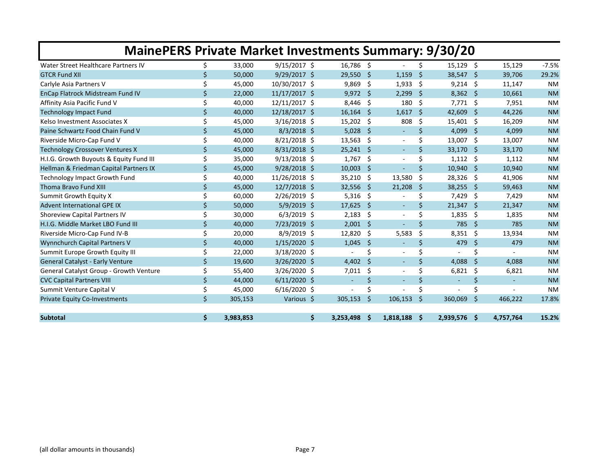| <b>MainePERS Private Market Investments Summary: 9/30/20</b> |    |           |                |                |     |                          |    |                |      |           |           |  |
|--------------------------------------------------------------|----|-----------|----------------|----------------|-----|--------------------------|----|----------------|------|-----------|-----------|--|
| Water Street Healthcare Partners IV                          | Ś. | 33,000    | $9/15/2017$ \$ | 16,786 \$      |     |                          | Ŝ. | $15,129$ \$    |      | 15,129    | $-7.5%$   |  |
| <b>GTCR Fund XII</b>                                         | Ś. | 50,000    | $9/29/2017$ \$ | 29,550         | -Ś  | 1,159                    | Ŝ. | 38,547         | - \$ | 39,706    | 29.2%     |  |
| Carlyle Asia Partners V                                      | Ś  | 45,000    | 10/30/2017 \$  | 9,869          | -\$ | 1,933                    | Ŝ. | $9,214$ \$     |      | 11,147    | <b>NM</b> |  |
| EnCap Flatrock Midstream Fund IV                             | Ś  | 22,000    | 11/17/2017 \$  | $9,972$ \$     |     | 2,299                    | Ŝ. | $8,362$ \$     |      | 10,661    | <b>NM</b> |  |
| Affinity Asia Pacific Fund V                                 | \$ | 40,000    | 12/11/2017 \$  | 8,446          | -\$ | 180                      | Ŝ. | $7,771$ \$     |      | 7,951     | <b>NM</b> |  |
| <b>Technology Impact Fund</b>                                | \$ | 40,000    | 12/18/2017 \$  | 16,164         | -S  | 1,617                    | Ŝ. | 42,609         | -Ś   | 44,226    | <b>NM</b> |  |
| Kelso Investment Associates X                                |    | 45,000    | $3/16/2018$ \$ | 15,202         | -\$ | 808                      | Ś. | $15,401$ \$    |      | 16,209    | <b>NM</b> |  |
| Paine Schwartz Food Chain Fund V                             | Ś. | 45,000    | $8/3/2018$ \$  | 5,028          | -S  | $\overline{\phantom{a}}$ | Ŝ. | 4.099          | - \$ | 4,099     | <b>NM</b> |  |
| Riverside Micro-Cap Fund V                                   | Ś  | 40,000    | $8/21/2018$ \$ | 13,563         | \$  |                          | Ś  | 13,007         | -\$  | 13,007    | <b>NM</b> |  |
| <b>Technology Crossover Ventures X</b>                       | \$ | 45,000    | $8/31/2018$ \$ | 25,241         | \$  | $\overline{\phantom{a}}$ | Ś  | 33,170         | -\$  | 33,170    | <b>NM</b> |  |
| H.I.G. Growth Buyouts & Equity Fund III                      | \$ | 35,000    | $9/13/2018$ \$ | 1,767          | \$  |                          | Ś. | 1,112          | -\$  | 1,112     | <b>NM</b> |  |
| Hellman & Friedman Capital Partners IX                       | \$ | 45,000    | $9/28/2018$ \$ | 10,003         | \$. |                          | Ś. | 10,940         | - \$ | 10,940    | <b>NM</b> |  |
| <b>Technology Impact Growth Fund</b>                         | \$ | 40,000    | 11/26/2018 \$  | 35,210         | \$. | 13,580                   | Ś. | 28,326         | -\$  | 41,906    | <b>NM</b> |  |
| Thoma Bravo Fund XIII                                        | \$ | 45,000    | 12/7/2018 \$   | 32,556         | \$. | 21,208                   | Ŝ. | 38,255         | -S   | 59,463    | <b>NM</b> |  |
| Summit Growth Equity X                                       | Ś. | 60,000    | 2/26/2019 \$   | 5,316          | -\$ |                          | Ś  | 7,429          | Ŝ.   | 7,429     | <b>NM</b> |  |
| <b>Advent International GPE IX</b>                           | \$ | 50,000    | 5/9/2019 \$    | 17,625         | -\$ | $\blacksquare$           | Ŝ. | 21,347         | - \$ | 21,347    | <b>NM</b> |  |
| Shoreview Capital Partners IV                                | \$ | 30,000    | $6/3/2019$ \$  | 2,183          | \$  | $\overline{\phantom{a}}$ | Ś  | 1,835          | S,   | 1,835     | <b>NM</b> |  |
| H.I.G. Middle Market LBO Fund III                            | \$ | 40,000    | $7/23/2019$ \$ | 2,001          | \$  |                          | Ś. | 785            | -Ś   | 785       | <b>NM</b> |  |
| Riverside Micro-Cap Fund IV-B                                |    | 20,000    | $8/9/2019$ \$  | 12,820         | Ŝ   | 5,583                    | Ś  | 8,351          | -Ś   | 13.934    | <b>NM</b> |  |
| Wynnchurch Capital Partners V                                | \$ | 40,000    | 1/15/2020 \$   | 1,045          | Ś.  | $\overline{\phantom{a}}$ | Ś. | 479            | Ŝ.   | 479       | <b>NM</b> |  |
| Summit Europe Growth Equity III                              |    | 22,000    | 3/18/2020 \$   |                | Ś   |                          | Ś  |                | Ś    |           | <b>NM</b> |  |
| <b>General Catalyst - Early Venture</b>                      | \$ | 19,600    | 3/26/2020 \$   | 4,402          | \$  | $\overline{\phantom{a}}$ | Ś. | 4,088          | S.   | 4,088     | <b>NM</b> |  |
| General Catalyst Group - Growth Venture                      | \$ | 55,400    | 3/26/2020 \$   | 7.011          | Ŝ.  | $\overline{\phantom{a}}$ | \$ | 6.821          | -Ś   | 6.821     | <b>NM</b> |  |
| <b>CVC Capital Partners VIII</b>                             | \$ | 44,000    | $6/11/2020$ \$ | $\sim$         | \$  | ٠                        | \$ | $\blacksquare$ | \$   | $\sim$    | <b>NM</b> |  |
| Summit Venture Capital V                                     | \$ | 45,000    | $6/16/2020$ \$ | $\blacksquare$ | \$  |                          | Ś  |                | \$   |           | <b>NM</b> |  |
| <b>Private Equity Co-Investments</b>                         | Ś. | 305,153   | Various \$     | 305,153        | Ś   | 106.153                  | Ś. | 360,069        | -Ś   | 466,222   | 17.8%     |  |
| <b>Subtotal</b>                                              | \$ | 3,983,853 | \$             | 3,253,498      | - Ś | $1,818,188$ \$           |    | 2,939,576 \$   |      | 4,757,764 | 15.2%     |  |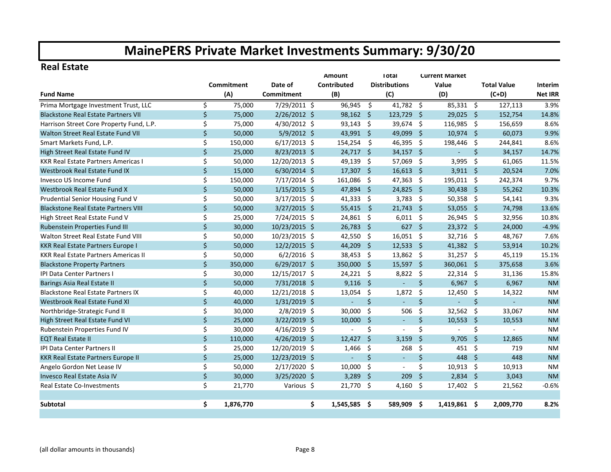#### **Real Estate**

|                                             |              |            |                | <b>Amount</b>   |                     | <b>Total</b>         |                    | <b>Current Market</b> |              |                    |                |
|---------------------------------------------|--------------|------------|----------------|-----------------|---------------------|----------------------|--------------------|-----------------------|--------------|--------------------|----------------|
|                                             |              | Commitment | Date of        | Contributed     |                     | <b>Distributions</b> |                    | Value                 |              | <b>Total Value</b> | Interim        |
| <b>Fund Name</b>                            |              | (A)        | Commitment     | (B)             |                     | (C)                  |                    | (D)                   |              | $(C+D)$            | <b>Net IRR</b> |
| Prima Mortgage Investment Trust, LLC        | \$           | 75,000     | 7/29/2011 \$   | 96,945          | \$                  | 41,782 \$            |                    | 85,331 \$             |              | 127,113            | 3.9%           |
| <b>Blackstone Real Estate Partners VII</b>  | \$           | 75,000     | $2/26/2012$ \$ | $98,162$ \$     |                     | 123,729 \$           |                    | 29,025 \$             |              | 152,754            | 14.8%          |
| Harrison Street Core Property Fund, L.P.    | \$           | 75,000     | 4/30/2012 \$   | 93,143 \$       |                     | 39,674 \$            |                    | 116,985 \$            |              | 156,659            | 8.6%           |
| Walton Street Real Estate Fund VII          | \$           | 50,000     | 5/9/2012 \$    | 43,991 \$       |                     | 49,099               | - \$               | 10,974 \$             |              | 60,073             | 9.9%           |
| Smart Markets Fund, L.P.                    | Ś.           | 150,000    | $6/17/2013$ \$ | 154,254         | -\$                 | 46,395 \$            |                    | 198,446 \$            |              | 244,841            | 8.6%           |
| High Street Real Estate Fund IV             | $\zeta$      | 25,000     | 8/23/2013 \$   | 24,717          | - \$                | $34,157$ \$          |                    |                       | Ś.           | 34,157             | 14.7%          |
| <b>KKR Real Estate Partners Americas I</b>  | \$           | 50,000     | 12/20/2013 \$  | 49,139 \$       |                     | 57,069 \$            |                    | 3,995                 | -\$          | 61,065             | 11.5%          |
| Westbrook Real Estate Fund IX               | $\zeta$      | 15,000     | $6/30/2014$ \$ | $17,307$ \$     |                     | $16,613$ \$          |                    | $3,911$ \$            |              | 20,524             | 7.0%           |
| Invesco US Income Fund                      | \$           | 150,000    | $7/17/2014$ \$ | 161,086         | - \$                | $47,363$ \$          |                    | 195,011 \$            |              | 242,374            | 9.7%           |
| Westbrook Real Estate Fund X                | \$           | 50,000     | $1/15/2015$ \$ | 47,894 \$       |                     | $24,825$ \$          |                    | 30,438 \$             |              | 55,262             | 10.3%          |
| Prudential Senior Housing Fund V            | \$           | 50,000     | $3/17/2015$ \$ | 41,333          | -\$                 | 3,783 \$             |                    | 50,358 \$             |              | 54,141             | 9.3%           |
| <b>Blackstone Real Estate Partners VIII</b> | \$           | 50,000     | $3/27/2015$ \$ | 55,415          | Ŝ.                  | $21,743$ \$          |                    | 53,055 \$             |              | 74,798             | 13.6%          |
| High Street Real Estate Fund V              | \$           | 25,000     | 7/24/2015 \$   | 24,861          | -\$                 | 6,011                | - \$               | 26,945 \$             |              | 32,956             | 10.8%          |
| Rubenstein Properties Fund III              | \$           | 30,000     | 10/23/2015 \$  | 26,783          | $\ddot{\varsigma}$  | $627$ \$             |                    | 23,372 \$             |              | 24,000             | $-4.9%$        |
| Walton Street Real Estate Fund VIII         | \$           | 50,000     | 10/23/2015 \$  | 42,550          | -\$                 | $16,051$ \$          |                    | 32,716 \$             |              | 48,767             | 7.6%           |
| <b>KKR Real Estate Partners Europe I</b>    | \$           | 50,000     | 12/2/2015 \$   | 44,209          | $\ddot{\mathsf{S}}$ | 12,533               | - \$               | 41,382 \$             |              | 53,914             | 10.2%          |
| <b>KKR Real Estate Partners Americas II</b> | \$           | 50,000     | $6/2/2016$ \$  | 38,453          | -\$                 | $13,862$ \$          |                    | $31,257$ \$           |              | 45,119             | 15.1%          |
| <b>Blackstone Property Partners</b>         | $\zeta$      | 350,000    | $6/29/2017$ \$ | 350,000         | $\mathsf{\dot{S}}$  | 15,597 \$            |                    | 360,061 \$            |              | 375,658            | 3.6%           |
| IPI Data Center Partners I                  | \$           | 30,000     | 12/15/2017 \$  | 24,221 \$       |                     | $8,822$ \$           |                    | 22,314 \$             |              | 31,136             | 15.8%          |
| Barings Asia Real Estate II                 | \$           | 50,000     | 7/31/2018 \$   | $9,116$ \$      |                     | $\mathbf{v}$         | $\zeta$            | $6,967$ \$            |              | 6,967              | <b>NM</b>      |
| <b>Blackstone Real Estate Partners IX</b>   | \$           | 40,000     | 12/21/2018 \$  | 13,054          | -\$                 | 1,872                | \$                 | 12,450 \$             |              | 14,322             | <b>NM</b>      |
| Westbrook Real Estate Fund XI               | \$           | 40,000     | $1/31/2019$ \$ | $\sim$          | $\zeta$             |                      | \$                 | ÷.                    | $\zeta$      | $\Delta \phi$      | <b>NM</b>      |
| Northbridge-Strategic Fund II               | \$           | 30,000     | 2/8/2019 \$    | 30,000          | \$                  | 506                  | \$                 | 32,562                | \$           | 33,067             | <b>NM</b>      |
| High Street Real Estate Fund VI             | \$           | 25,000     | 3/22/2019 \$   | 10,000          | \$                  | $\blacksquare$       | \$                 | $10,553$ \$           |              | 10,553             | <b>NM</b>      |
| Rubenstein Properties Fund IV               | \$           | 30,000     | $4/16/2019$ \$ | $\overline{a}$  | \$                  |                      | \$                 |                       | \$           |                    | <b>NM</b>      |
| <b>EQT Real Estate II</b>                   | $\zeta$      | 110,000    | 4/26/2019 \$   | 12,427          | Ś.                  | 3,159                | $\zeta$            | 9,705                 | -Ś           | 12,865             | <b>NM</b>      |
| <b>IPI Data Center Partners II</b>          | \$           | 25,000     | 12/20/2019 \$  | 1,466           | -\$                 | 268                  | \$                 | 451                   | - Ś          | 719                | <b>NM</b>      |
| <b>KKR Real Estate Partners Europe II</b>   | $\zeta$      | 25,000     | 12/23/2019 \$  | ÷.              | \$                  | $\blacksquare$       | $\zeta$            | 448                   | $\mathsf{S}$ | 448                | <b>NM</b>      |
| Angelo Gordon Net Lease IV                  | \$           | 50,000     | 2/17/2020 \$   | 10.000          | \$                  | $\blacksquare$       | Ś.                 | $10,913$ \$           |              | 10,913             | <b>NM</b>      |
| Invesco Real Estate Asia IV                 | $\mathsf{S}$ | 30,000     | 3/25/2020 \$   | 3,289           | -\$                 | 209                  | $\mathsf{\hat{S}}$ | $2,834$ \$            |              | 3,043              | <b>NM</b>      |
| <b>Real Estate Co-Investments</b>           | \$           | 21,770     | Various \$     | 21,770 \$       |                     | 4,160 \$             |                    | 17,402 \$             |              | 21,562             | $-0.6%$        |
|                                             |              |            |                |                 |                     |                      |                    |                       |              |                    |                |
| <b>Subtotal</b>                             | \$.          | 1,876,770  |                | \$<br>1,545,585 | -\$                 | 589,909 \$           |                    | 1,419,861 \$          |              | 2,009,770          | 8.2%           |
|                                             |              |            |                |                 |                     |                      |                    |                       |              |                    |                |